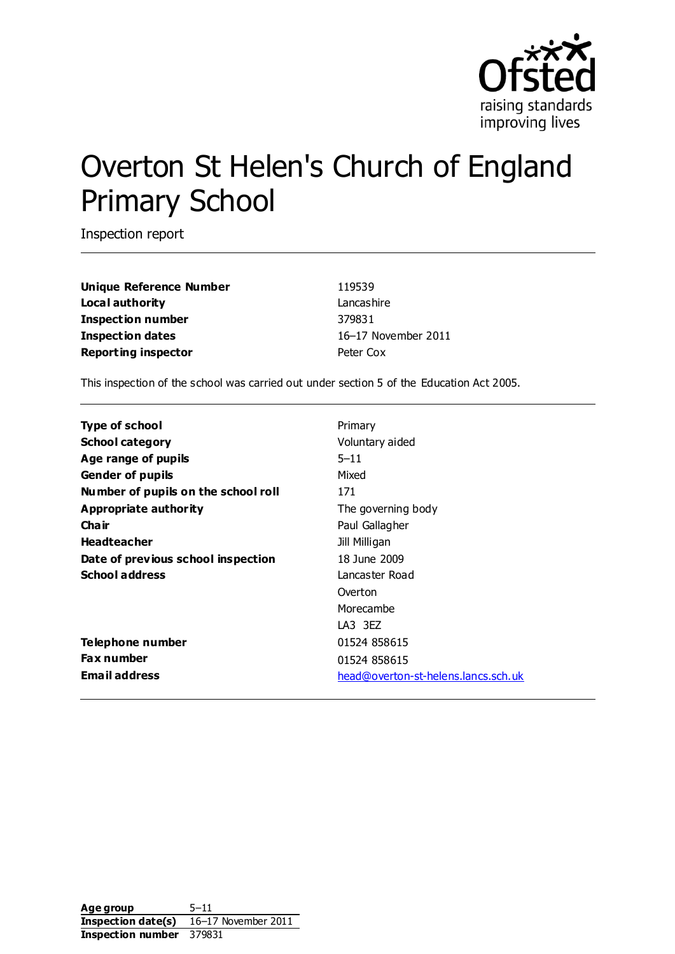

# Overton St Helen's Church of England Primary School

Inspection report

**Unique Reference Number** 119539 **Local authority** Lancashire **Inspection number** 379831 **Inspection dates** 16–17 November 2011 **Reporting inspector Peter Cox** 

This inspection of the school was carried out under section 5 of the Education Act 2005.

| <b>Type of school</b>               | Primary                             |
|-------------------------------------|-------------------------------------|
| <b>School category</b>              | Voluntary aided                     |
| Age range of pupils                 | $5 - 11$                            |
| <b>Gender of pupils</b>             | Mixed                               |
| Number of pupils on the school roll | 171                                 |
| Appropriate authority               | The governing body                  |
| Cha ir                              | Paul Gallagher                      |
| <b>Headteacher</b>                  | Jill Milligan                       |
| Date of previous school inspection  | 18 June 2009                        |
| <b>School address</b>               | Lancaster Road                      |
|                                     | Overton                             |
|                                     | Morecambe                           |
|                                     | LA3 3EZ                             |
| Telephone number                    | 01524 858615                        |
| <b>Fax number</b>                   | 01524 858615                        |
| <b>Email address</b>                | head@overton-st-helens.lancs.sch.uk |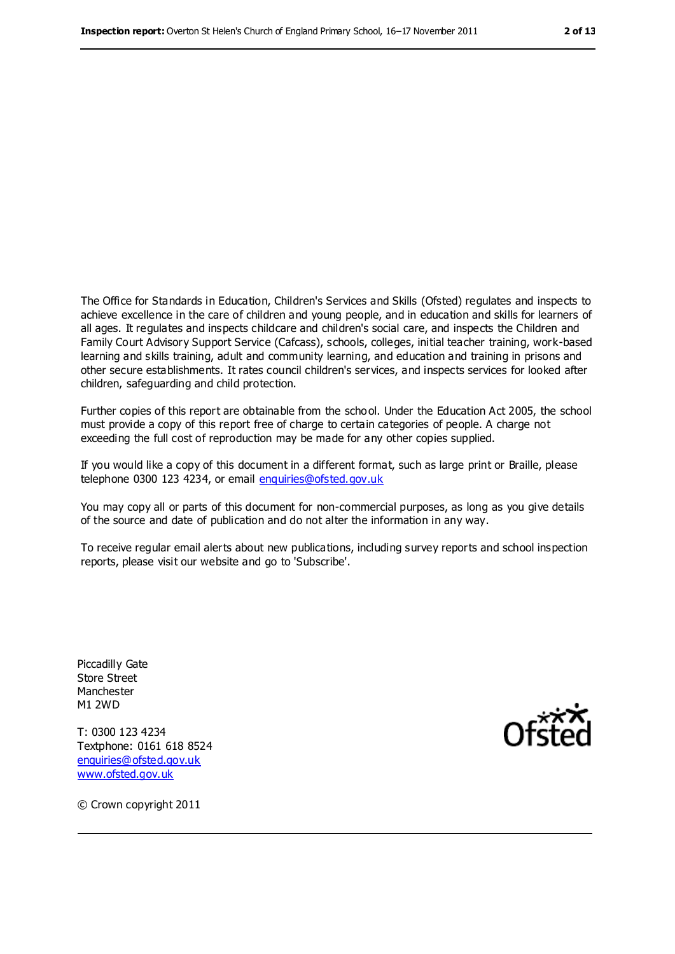The Office for Standards in Education, Children's Services and Skills (Ofsted) regulates and inspects to achieve excellence in the care of children and young people, and in education and skills for learners of all ages. It regulates and inspects childcare and children's social care, and inspects the Children and Family Court Advisory Support Service (Cafcass), schools, colleges, initial teacher training, work-based learning and skills training, adult and community learning, and education and training in prisons and other secure establishments. It rates council children's services, and inspects services for looked after children, safeguarding and child protection.

Further copies of this report are obtainable from the school. Under the Education Act 2005, the school must provide a copy of this report free of charge to certain categories of people. A charge not exceeding the full cost of reproduction may be made for any other copies supplied.

If you would like a copy of this document in a different format, such as large print or Braille, please telephone 0300 123 4234, or email [enquiries@ofsted.gov.uk](mailto:enquiries@ofsted.gov.uk)

You may copy all or parts of this document for non-commercial purposes, as long as you give details of the source and date of publication and do not alter the information in any way.

To receive regular email alerts about new publications, including survey reports and school inspection reports, please visit our website and go to 'Subscribe'.

Piccadilly Gate Store Street Manchester M1 2WD

T: 0300 123 4234 Textphone: 0161 618 8524 [enquiries@ofsted.gov.uk](mailto:enquiries@ofsted.gov.uk) [www.ofsted.gov.uk](http://www.ofsted.gov.uk/)



© Crown copyright 2011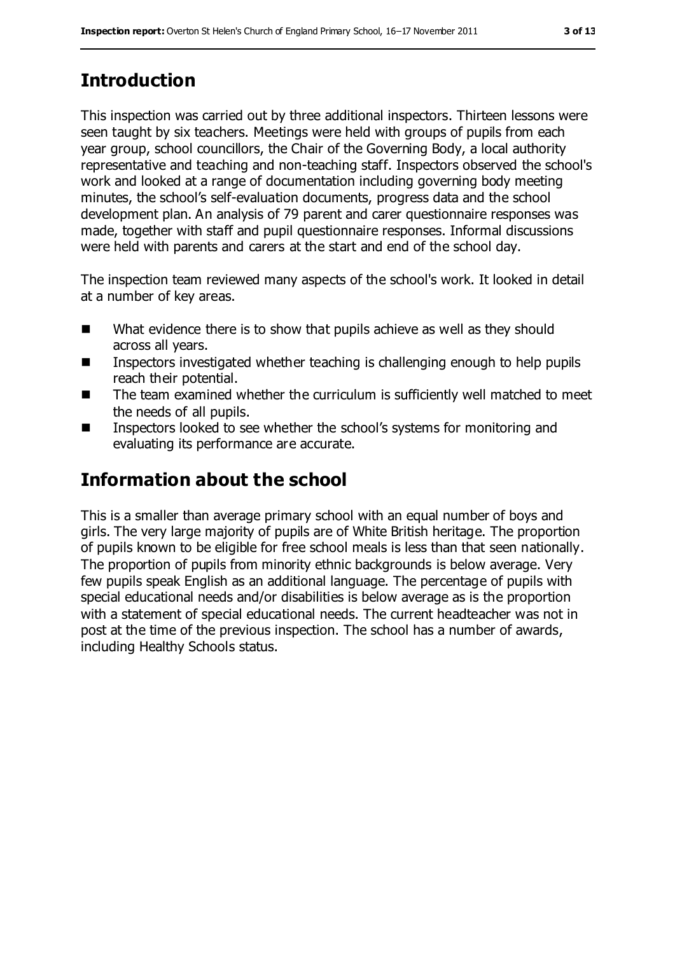## **Introduction**

This inspection was carried out by three additional inspectors. Thirteen lessons were seen taught by six teachers. Meetings were held with groups of pupils from each year group, school councillors, the Chair of the Governing Body, a local authority representative and teaching and non-teaching staff. Inspectors observed the school's work and looked at a range of documentation including governing body meeting minutes, the school's self-evaluation documents, progress data and the school development plan. An analysis of 79 parent and carer questionnaire responses was made, together with staff and pupil questionnaire responses. Informal discussions were held with parents and carers at the start and end of the school day.

The inspection team reviewed many aspects of the school's work. It looked in detail at a number of key areas.

- What evidence there is to show that pupils achieve as well as they should across all years.
- Inspectors investigated whether teaching is challenging enough to help pupils reach their potential.
- The team examined whether the curriculum is sufficiently well matched to meet the needs of all pupils.
- Inspectors looked to see whether the school's systems for monitoring and evaluating its performance are accurate.

## **Information about the school**

This is a smaller than average primary school with an equal number of boys and girls. The very large majority of pupils are of White British heritage. The proportion of pupils known to be eligible for free school meals is less than that seen nationally. The proportion of pupils from minority ethnic backgrounds is below average. Very few pupils speak English as an additional language. The percentage of pupils with special educational needs and/or disabilities is below average as is the proportion with a statement of special educational needs. The current headteacher was not in post at the time of the previous inspection. The school has a number of awards, including Healthy Schools status.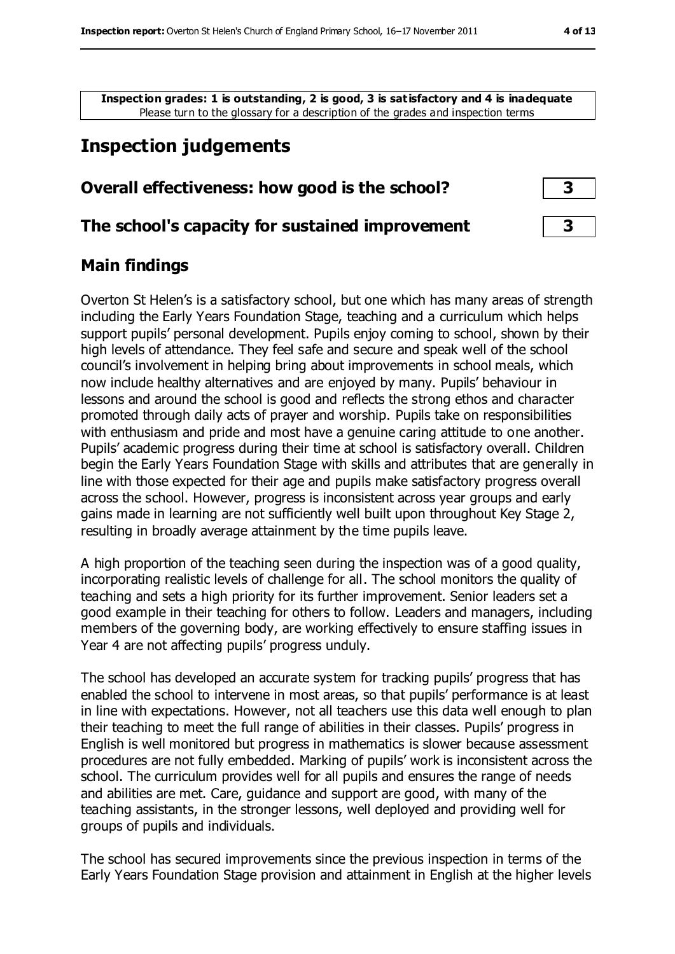**Inspection grades: 1 is outstanding, 2 is good, 3 is satisfactory and 4 is inadequate** Please turn to the glossary for a description of the grades and inspection terms

## **Inspection judgements**

#### **Overall effectiveness: how good is the school? 3**

#### **The school's capacity for sustained improvement 3**

#### **Main findings**

Overton St Helen's is a satisfactory school, but one which has many areas of strength including the Early Years Foundation Stage, teaching and a curriculum which helps support pupils' personal development. Pupils enjoy coming to school, shown by their high levels of attendance. They feel safe and secure and speak well of the school council's involvement in helping bring about improvements in school meals, which now include healthy alternatives and are enjoyed by many. Pupils' behaviour in lessons and around the school is good and reflects the strong ethos and character promoted through daily acts of prayer and worship. Pupils take on responsibilities with enthusiasm and pride and most have a genuine caring attitude to one another. Pupils' academic progress during their time at school is satisfactory overall. Children begin the Early Years Foundation Stage with skills and attributes that are generally in line with those expected for their age and pupils make satisfactory progress overall across the school. However, progress is inconsistent across year groups and early gains made in learning are not sufficiently well built upon throughout Key Stage 2, resulting in broadly average attainment by the time pupils leave.

A high proportion of the teaching seen during the inspection was of a good quality, incorporating realistic levels of challenge for all. The school monitors the quality of teaching and sets a high priority for its further improvement. Senior leaders set a good example in their teaching for others to follow. Leaders and managers, including members of the governing body, are working effectively to ensure staffing issues in Year 4 are not affecting pupils' progress unduly.

The school has developed an accurate system for tracking pupils' progress that has enabled the school to intervene in most areas, so that pupils' performance is at least in line with expectations. However, not all teachers use this data well enough to plan their teaching to meet the full range of abilities in their classes. Pupils' progress in English is well monitored but progress in mathematics is slower because assessment procedures are not fully embedded. Marking of pupils' work is inconsistent across the school. The curriculum provides well for all pupils and ensures the range of needs and abilities are met. Care, guidance and support are good, with many of the teaching assistants, in the stronger lessons, well deployed and providing well for groups of pupils and individuals.

The school has secured improvements since the previous inspection in terms of the Early Years Foundation Stage provision and attainment in English at the higher levels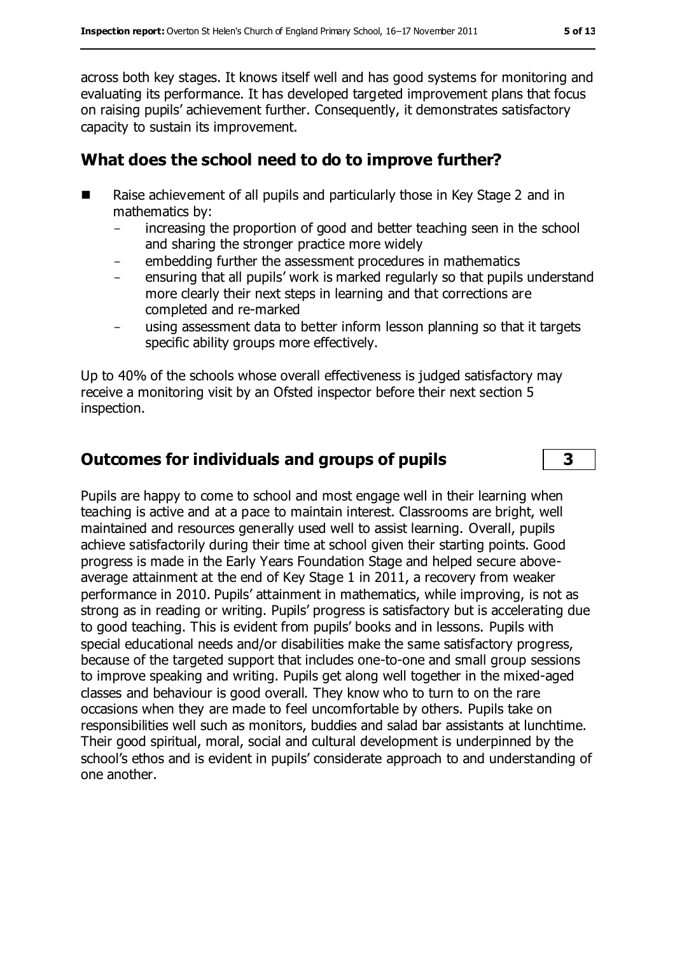across both key stages. It knows itself well and has good systems for monitoring and evaluating its performance. It has developed targeted improvement plans that focus on raising pupils' achievement further. Consequently, it demonstrates satisfactory capacity to sustain its improvement.

## **What does the school need to do to improve further?**

- Raise achievement of all pupils and particularly those in Key Stage 2 and in mathematics by:
	- increasing the proportion of good and better teaching seen in the school and sharing the stronger practice more widely
	- embedding further the assessment procedures in mathematics
	- ensuring that all pupils' work is marked regularly so that pupils understand more clearly their next steps in learning and that corrections are completed and re-marked
	- using assessment data to better inform lesson planning so that it targets specific ability groups more effectively.

Up to 40% of the schools whose overall effectiveness is judged satisfactory may receive a monitoring visit by an Ofsted inspector before their next section 5 inspection.

## **Outcomes for individuals and groups of pupils 3**

Pupils are happy to come to school and most engage well in their learning when teaching is active and at a pace to maintain interest. Classrooms are bright, well maintained and resources generally used well to assist learning. Overall, pupils achieve satisfactorily during their time at school given their starting points. Good progress is made in the Early Years Foundation Stage and helped secure aboveaverage attainment at the end of Key Stage 1 in 2011, a recovery from weaker performance in 2010. Pupils' attainment in mathematics, while improving, is not as strong as in reading or writing. Pupils' progress is satisfactory but is accelerating due to good teaching. This is evident from pupils' books and in lessons. Pupils with special educational needs and/or disabilities make the same satisfactory progress, because of the targeted support that includes one-to-one and small group sessions to improve speaking and writing. Pupils get along well together in the mixed-aged classes and behaviour is good overall. They know who to turn to on the rare occasions when they are made to feel uncomfortable by others. Pupils take on responsibilities well such as monitors, buddies and salad bar assistants at lunchtime. Their good spiritual, moral, social and cultural development is underpinned by the school's ethos and is evident in pupils' considerate approach to and understanding of one another.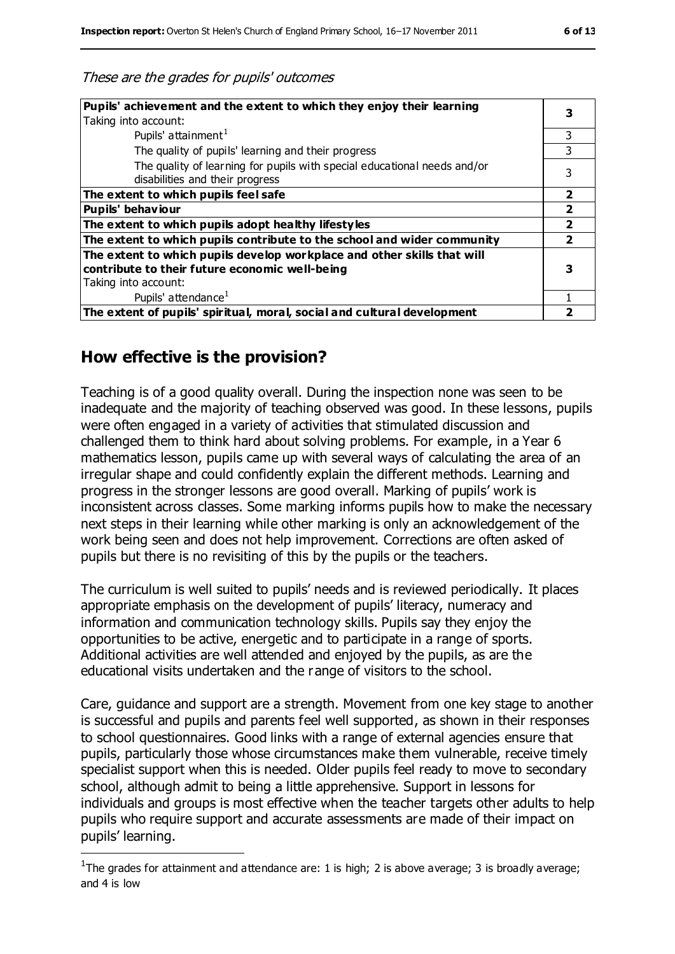| Pupils' achievement and the extent to which they enjoy their learning    |                |  |
|--------------------------------------------------------------------------|----------------|--|
| Taking into account:                                                     |                |  |
| Pupils' attainment <sup>1</sup>                                          | 3              |  |
| The quality of pupils' learning and their progress                       |                |  |
| The quality of learning for pupils with special educational needs and/or |                |  |
| disabilities and their progress                                          |                |  |
| The extent to which pupils feel safe                                     | $\overline{2}$ |  |
| <b>Pupils' behaviour</b>                                                 |                |  |
| The extent to which pupils adopt healthy lifestyles                      |                |  |
| The extent to which pupils contribute to the school and wider community  |                |  |
| The extent to which pupils develop workplace and other skills that will  |                |  |
| contribute to their future economic well-being                           |                |  |
| Taking into account:                                                     |                |  |
| Pupils' attendance <sup>1</sup>                                          |                |  |
| The extent of pupils' spiritual, moral, social and cultural development  |                |  |

## **How effective is the provision?**

 $\overline{a}$ 

Teaching is of a good quality overall. During the inspection none was seen to be inadequate and the majority of teaching observed was good. In these lessons, pupils were often engaged in a variety of activities that stimulated discussion and challenged them to think hard about solving problems. For example, in a Year 6 mathematics lesson, pupils came up with several ways of calculating the area of an irregular shape and could confidently explain the different methods. Learning and progress in the stronger lessons are good overall. Marking of pupils' work is inconsistent across classes. Some marking informs pupils how to make the necessary next steps in their learning while other marking is only an acknowledgement of the work being seen and does not help improvement. Corrections are often asked of pupils but there is no revisiting of this by the pupils or the teachers.

The curriculum is well suited to pupils' needs and is reviewed periodically. It places appropriate emphasis on the development of pupils' literacy, numeracy and information and communication technology skills. Pupils say they enjoy the opportunities to be active, energetic and to participate in a range of sports. Additional activities are well attended and enjoyed by the pupils, as are the educational visits undertaken and the range of visitors to the school.

Care, guidance and support are a strength. Movement from one key stage to another is successful and pupils and parents feel well supported, as shown in their responses to school questionnaires. Good links with a range of external agencies ensure that pupils, particularly those whose circumstances make them vulnerable, receive timely specialist support when this is needed. Older pupils feel ready to move to secondary school, although admit to being a little apprehensive. Support in lessons for individuals and groups is most effective when the teacher targets other adults to help pupils who require support and accurate assessments are made of their impact on pupils' learning.

<sup>&</sup>lt;sup>1</sup>The grades for attainment and attendance are: 1 is high; 2 is above average; 3 is broadly average; and 4 is low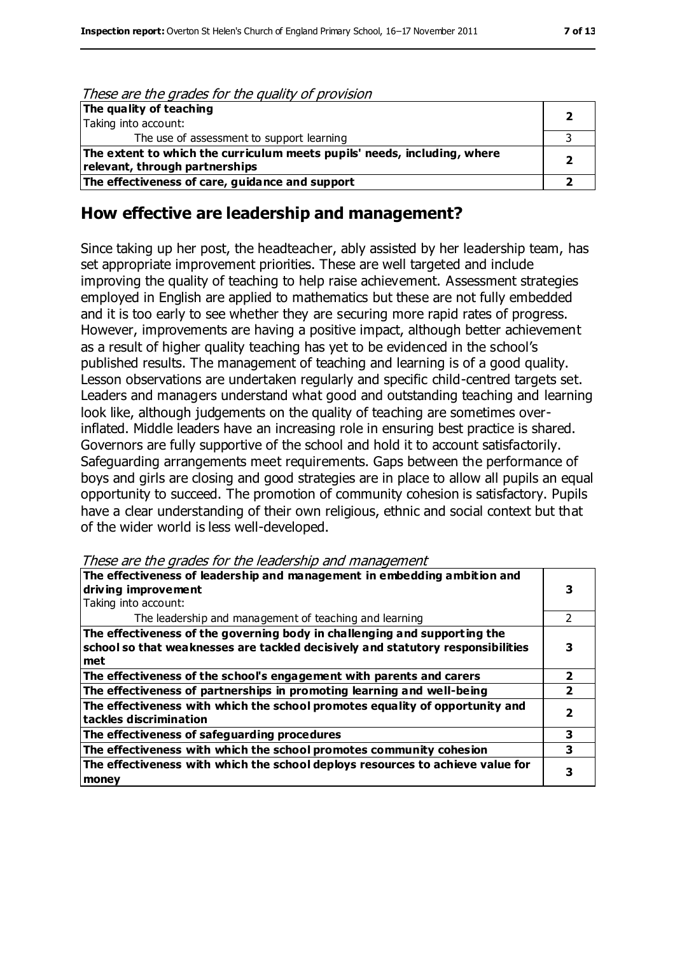| These are the grades for the quality of provision                                                          |  |
|------------------------------------------------------------------------------------------------------------|--|
| The quality of teaching<br>Taking into account:                                                            |  |
| The use of assessment to support learning                                                                  |  |
| The extent to which the curriculum meets pupils' needs, including, where<br>relevant, through partnerships |  |
| The effectiveness of care, guidance and support                                                            |  |

#### **How effective are leadership and management?**

Since taking up her post, the headteacher, ably assisted by her leadership team, has set appropriate improvement priorities. These are well targeted and include improving the quality of teaching to help raise achievement. Assessment strategies employed in English are applied to mathematics but these are not fully embedded and it is too early to see whether they are securing more rapid rates of progress. However, improvements are having a positive impact, although better achievement as a result of higher quality teaching has yet to be evidenced in the school's published results. The management of teaching and learning is of a good quality. Lesson observations are undertaken regularly and specific child-centred targets set. Leaders and managers understand what good and outstanding teaching and learning look like, although judgements on the quality of teaching are sometimes overinflated. Middle leaders have an increasing role in ensuring best practice is shared. Governors are fully supportive of the school and hold it to account satisfactorily. Safeguarding arrangements meet requirements. Gaps between the performance of boys and girls are closing and good strategies are in place to allow all pupils an equal opportunity to succeed. The promotion of community cohesion is satisfactory. Pupils have a clear understanding of their own religious, ethnic and social context but that of the wider world is less well-developed.

These are the grades for the leadership and management

| The effectiveness of leadership and management in embedding ambition and<br>driving improvement                                                                     |   |  |
|---------------------------------------------------------------------------------------------------------------------------------------------------------------------|---|--|
| Taking into account:                                                                                                                                                |   |  |
| The leadership and management of teaching and learning                                                                                                              |   |  |
| The effectiveness of the governing body in challenging and supporting the<br>school so that weaknesses are tackled decisively and statutory responsibilities<br>met |   |  |
| The effectiveness of the school's engagement with parents and carers                                                                                                | 7 |  |
| The effectiveness of partnerships in promoting learning and well-being                                                                                              |   |  |
| The effectiveness with which the school promotes equality of opportunity and<br>tackles discrimination                                                              |   |  |
| The effectiveness of safeguarding procedures                                                                                                                        | 3 |  |
| The effectiveness with which the school promotes community cohesion                                                                                                 | 3 |  |
| The effectiveness with which the school deploys resources to achieve value for<br>money                                                                             |   |  |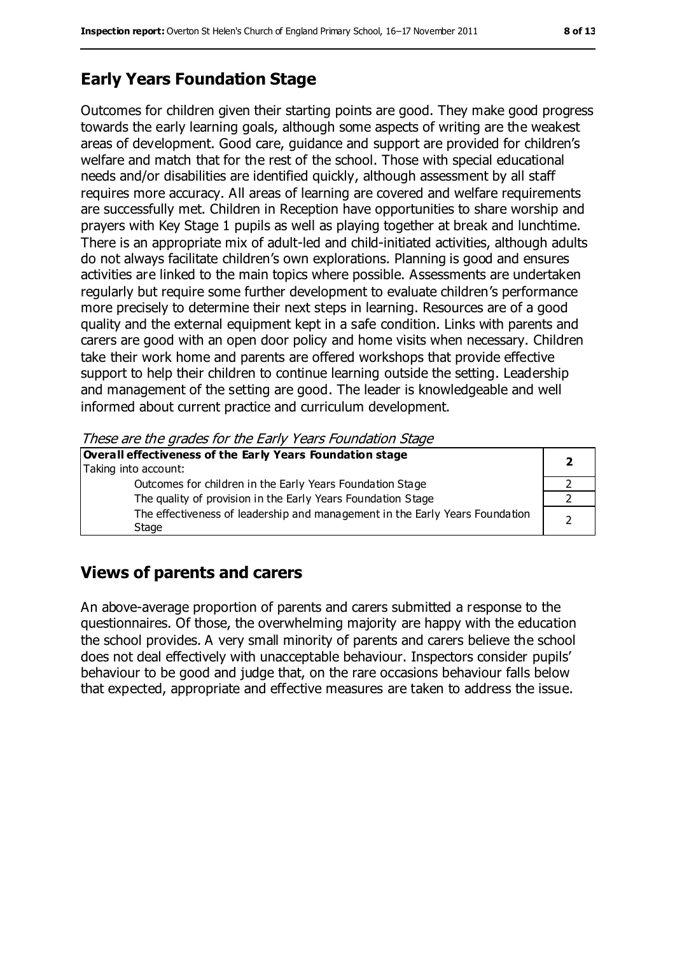## **Early Years Foundation Stage**

Outcomes for children given their starting points are good. They make good progress towards the early learning goals, although some aspects of writing are the weakest areas of development. Good care, guidance and support are provided for children's welfare and match that for the rest of the school. Those with special educational needs and/or disabilities are identified quickly, although assessment by all staff requires more accuracy. All areas of learning are covered and welfare requirements are successfully met. Children in Reception have opportunities to share worship and prayers with Key Stage 1 pupils as well as playing together at break and lunchtime. There is an appropriate mix of adult-led and child-initiated activities, although adults do not always facilitate children's own explorations. Planning is good and ensures activities are linked to the main topics where possible. Assessments are undertaken regularly but require some further development to evaluate children's performance more precisely to determine their next steps in learning. Resources are of a good quality and the external equipment kept in a safe condition. Links with parents and carers are good with an open door policy and home visits when necessary. Children take their work home and parents are offered workshops that provide effective support to help their children to continue learning outside the setting. Leadership and management of the setting are good. The leader is knowledgeable and well informed about current practice and curriculum development.

These are the grades for the Early Years Foundation Stage

## **Views of parents and carers**

An above-average proportion of parents and carers submitted a response to the questionnaires. Of those, the overwhelming majority are happy with the education the school provides. A very small minority of parents and carers believe the school does not deal effectively with unacceptable behaviour. Inspectors consider pupils' behaviour to be good and judge that, on the rare occasions behaviour falls below that expected, appropriate and effective measures are taken to address the issue.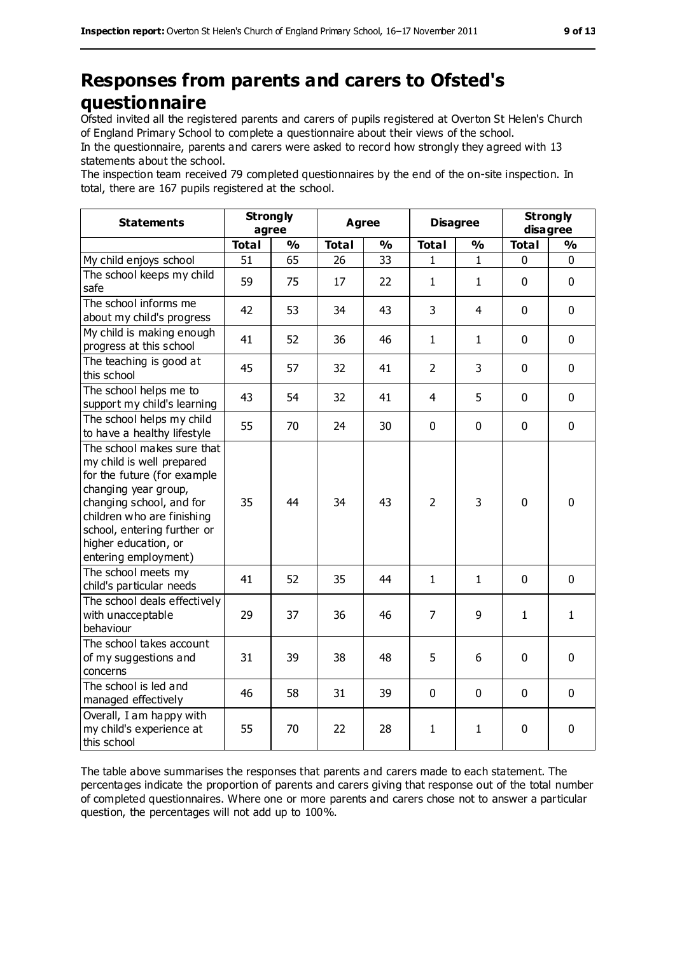## **Responses from parents and carers to Ofsted's questionnaire**

Ofsted invited all the registered parents and carers of pupils registered at Overton St Helen's Church of England Primary School to complete a questionnaire about their views of the school.

In the questionnaire, parents and carers were asked to record how strongly they agreed with 13 statements about the school.

The inspection team received 79 completed questionnaires by the end of the on-site inspection. In total, there are 167 pupils registered at the school.

| <b>Statements</b>                                                                                                                                                                                                                                       | <b>Strongly</b><br>agree |               | <b>Agree</b> |               | <b>Disagree</b> |                | <b>Strongly</b><br>disagree |               |
|---------------------------------------------------------------------------------------------------------------------------------------------------------------------------------------------------------------------------------------------------------|--------------------------|---------------|--------------|---------------|-----------------|----------------|-----------------------------|---------------|
|                                                                                                                                                                                                                                                         | <b>Total</b>             | $\frac{9}{6}$ | <b>Total</b> | $\frac{1}{2}$ | <b>Total</b>    | $\frac{1}{2}$  | <b>Total</b>                | $\frac{9}{6}$ |
| My child enjoys school                                                                                                                                                                                                                                  | 51                       | 65            | 26           | 33            | 1               | 1              | 0                           | 0             |
| The school keeps my child<br>safe                                                                                                                                                                                                                       | 59                       | 75            | 17           | 22            | $\mathbf{1}$    | $\mathbf{1}$   | $\mathbf 0$                 | $\mathbf 0$   |
| The school informs me<br>about my child's progress                                                                                                                                                                                                      | 42                       | 53            | 34           | 43            | 3               | $\overline{4}$ | $\mathbf 0$                 | $\mathbf 0$   |
| My child is making enough<br>progress at this school                                                                                                                                                                                                    | 41                       | 52            | 36           | 46            | $\mathbf{1}$    | $\mathbf{1}$   | $\mathbf 0$                 | $\mathbf 0$   |
| The teaching is good at<br>this school                                                                                                                                                                                                                  | 45                       | 57            | 32           | 41            | $\overline{2}$  | 3              | $\mathbf 0$                 | $\mathbf 0$   |
| The school helps me to<br>support my child's learning                                                                                                                                                                                                   | 43                       | 54            | 32           | 41            | $\overline{4}$  | 5              | $\mathbf 0$                 | $\mathbf 0$   |
| The school helps my child<br>to have a healthy lifestyle                                                                                                                                                                                                | 55                       | 70            | 24           | 30            | 0               | $\mathbf 0$    | $\mathbf 0$                 | $\mathbf 0$   |
| The school makes sure that<br>my child is well prepared<br>for the future (for example<br>changing year group,<br>changing school, and for<br>children who are finishing<br>school, entering further or<br>higher education, or<br>entering employment) | 35                       | 44            | 34           | 43            | $\overline{2}$  | 3              | $\mathbf 0$                 | $\mathbf 0$   |
| The school meets my<br>child's particular needs                                                                                                                                                                                                         | 41                       | 52            | 35           | 44            | $\mathbf{1}$    | $\mathbf{1}$   | $\mathbf 0$                 | $\mathbf 0$   |
| The school deals effectively<br>with unacceptable<br>behaviour                                                                                                                                                                                          | 29                       | 37            | 36           | 46            | $\overline{7}$  | 9              | $\mathbf{1}$                | $\mathbf{1}$  |
| The school takes account<br>of my suggestions and<br>concerns                                                                                                                                                                                           | 31                       | 39            | 38           | 48            | 5               | 6              | $\mathbf 0$                 | $\mathbf 0$   |
| The school is led and<br>managed effectively                                                                                                                                                                                                            | 46                       | 58            | 31           | 39            | 0               | $\mathbf 0$    | $\mathbf 0$                 | $\mathbf 0$   |
| Overall, I am happy with<br>my child's experience at<br>this school                                                                                                                                                                                     | 55                       | 70            | 22           | 28            | $\mathbf{1}$    | $\mathbf{1}$   | $\pmb{0}$                   | 0             |

The table above summarises the responses that parents and carers made to each statement. The percentages indicate the proportion of parents and carers giving that response out of the total number of completed questionnaires. Where one or more parents and carers chose not to answer a particular question, the percentages will not add up to 100%.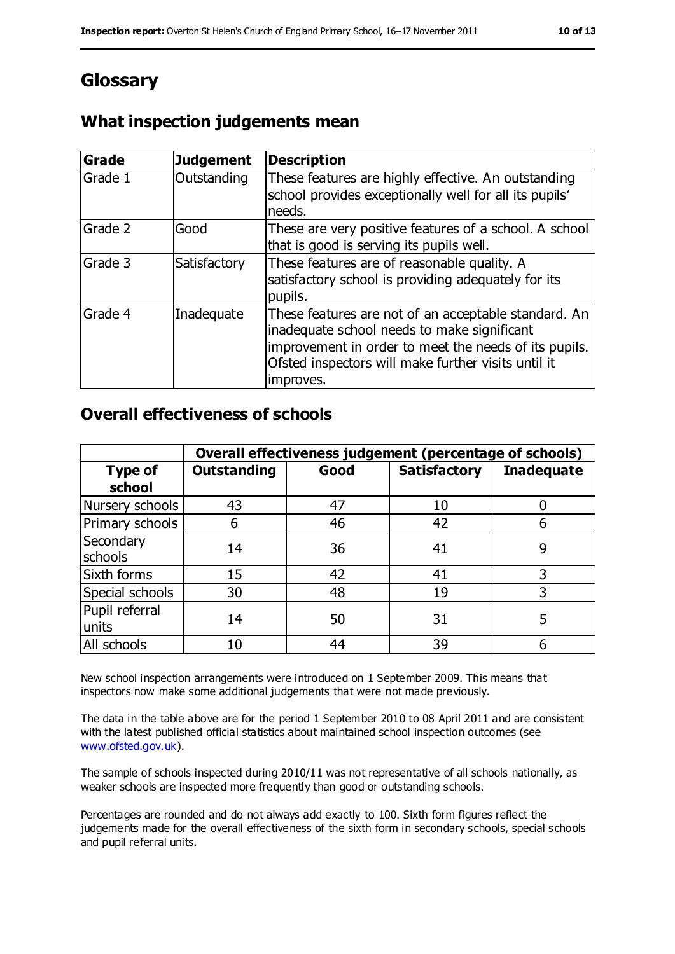## **Glossary**

#### **What inspection judgements mean**

| Grade   | <b>Judgement</b> | <b>Description</b>                                                                                                                                                                                                               |
|---------|------------------|----------------------------------------------------------------------------------------------------------------------------------------------------------------------------------------------------------------------------------|
| Grade 1 | Outstanding      | These features are highly effective. An outstanding<br>school provides exceptionally well for all its pupils'<br>needs.                                                                                                          |
| Grade 2 | Good             | These are very positive features of a school. A school<br>that is good is serving its pupils well.                                                                                                                               |
| Grade 3 | Satisfactory     | These features are of reasonable quality. A<br>satisfactory school is providing adequately for its<br>pupils.                                                                                                                    |
| Grade 4 | Inadequate       | These features are not of an acceptable standard. An<br>inadequate school needs to make significant<br>improvement in order to meet the needs of its pupils.<br>Ofsted inspectors will make further visits until it<br>improves. |

#### **Overall effectiveness of schools**

|                         | Overall effectiveness judgement (percentage of schools) |      |                     |                   |
|-------------------------|---------------------------------------------------------|------|---------------------|-------------------|
| Type of<br>school       | <b>Outstanding</b>                                      | Good | <b>Satisfactory</b> | <b>Inadequate</b> |
| Nursery schools         | 43                                                      | 47   | 10                  |                   |
| Primary schools         | 6                                                       | 46   | 42                  |                   |
| Secondary<br>schools    | 14                                                      | 36   | 41                  | 9                 |
| Sixth forms             | 15                                                      | 42   | 41                  | 3                 |
| Special schools         | 30                                                      | 48   | 19                  | 3                 |
| Pupil referral<br>units | 14                                                      | 50   | 31                  |                   |
| All schools             | 10                                                      | 44   | 39                  |                   |

New school inspection arrangements were introduced on 1 September 2009. This means that inspectors now make some additional judgements that were not made previously.

The data in the table above are for the period 1 September 2010 to 08 April 2011 and are consistent with the latest published official statistics about maintained school inspection outcomes (see [www.ofsted.gov.uk\)](http://www.ofsted.gov.uk/).

The sample of schools inspected during 2010/11 was not representative of all schools nationally, as weaker schools are inspected more frequently than good or outstanding schools.

Percentages are rounded and do not always add exactly to 100. Sixth form figures reflect the judgements made for the overall effectiveness of the sixth form in secondary schools, special schools and pupil referral units.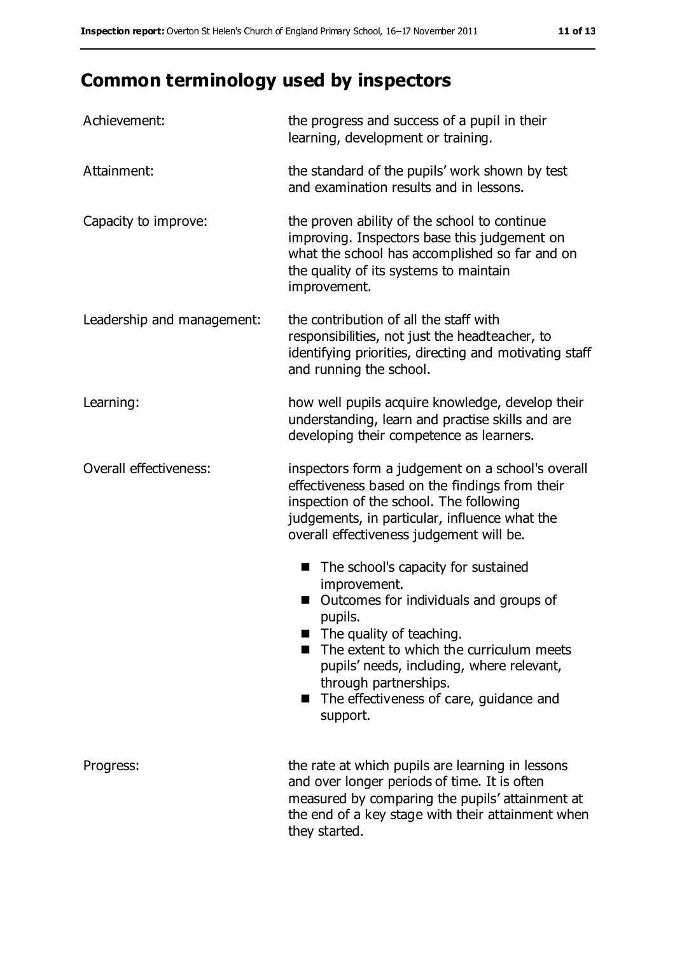# **Common terminology used by inspectors**

| Achievement:               | the progress and success of a pupil in their<br>learning, development or training.                                                                                                                                                                                                                                                 |  |  |
|----------------------------|------------------------------------------------------------------------------------------------------------------------------------------------------------------------------------------------------------------------------------------------------------------------------------------------------------------------------------|--|--|
| Attainment:                | the standard of the pupils' work shown by test<br>and examination results and in lessons.                                                                                                                                                                                                                                          |  |  |
| Capacity to improve:       | the proven ability of the school to continue<br>improving. Inspectors base this judgement on<br>what the school has accomplished so far and on<br>the quality of its systems to maintain<br>improvement.                                                                                                                           |  |  |
| Leadership and management: | the contribution of all the staff with<br>responsibilities, not just the headteacher, to<br>identifying priorities, directing and motivating staff<br>and running the school.                                                                                                                                                      |  |  |
| Learning:                  | how well pupils acquire knowledge, develop their<br>understanding, learn and practise skills and are<br>developing their competence as learners.                                                                                                                                                                                   |  |  |
| Overall effectiveness:     | inspectors form a judgement on a school's overall<br>effectiveness based on the findings from their<br>inspection of the school. The following<br>judgements, in particular, influence what the<br>overall effectiveness judgement will be.                                                                                        |  |  |
|                            | The school's capacity for sustained<br>improvement.<br>Outcomes for individuals and groups of<br>pupils.<br>$\blacksquare$ The quality of teaching.<br>The extent to which the curriculum meets<br>pupils' needs, including, where relevant,<br>through partnerships.<br>The effectiveness of care, guidance and<br>۰.<br>support. |  |  |
| Progress:                  | the rate at which pupils are learning in lessons<br>and over longer periods of time. It is often<br>measured by comparing the pupils' attainment at<br>the end of a key stage with their attainment when<br>they started.                                                                                                          |  |  |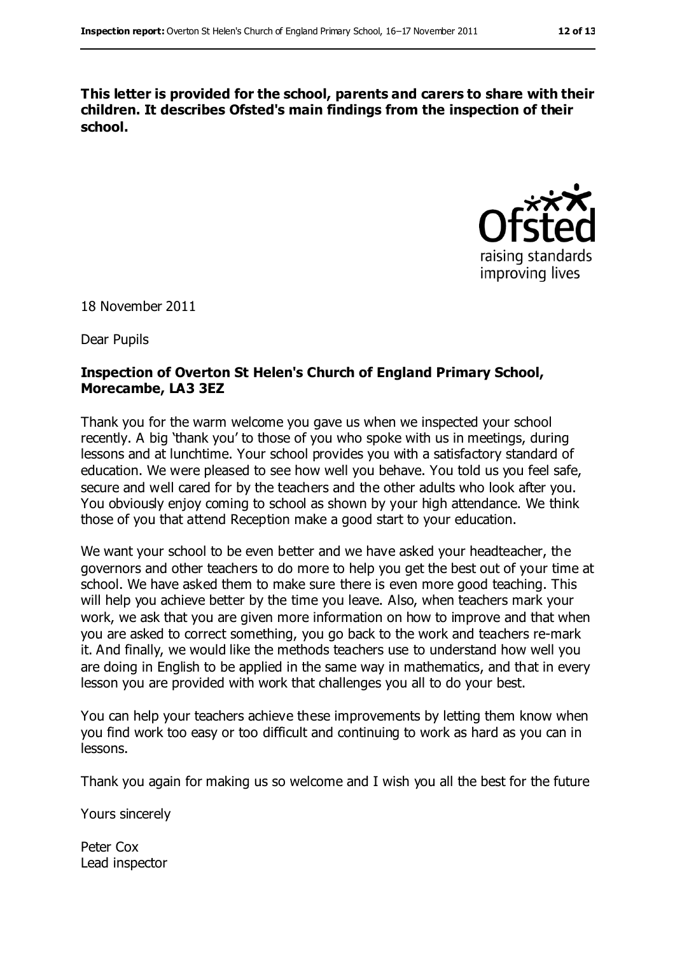**This letter is provided for the school, parents and carers to share with their children. It describes Ofsted's main findings from the inspection of their school.**



18 November 2011

Dear Pupils

#### **Inspection of Overton St Helen's Church of England Primary School, Morecambe, LA3 3EZ**

Thank you for the warm welcome you gave us when we inspected your school recently. A big 'thank you' to those of you who spoke with us in meetings, during lessons and at lunchtime. Your school provides you with a satisfactory standard of education. We were pleased to see how well you behave. You told us you feel safe, secure and well cared for by the teachers and the other adults who look after you. You obviously enjoy coming to school as shown by your high attendance. We think those of you that attend Reception make a good start to your education.

We want your school to be even better and we have asked your headteacher, the governors and other teachers to do more to help you get the best out of your time at school. We have asked them to make sure there is even more good teaching. This will help you achieve better by the time you leave. Also, when teachers mark your work, we ask that you are given more information on how to improve and that when you are asked to correct something, you go back to the work and teachers re-mark it. And finally, we would like the methods teachers use to understand how well you are doing in English to be applied in the same way in mathematics, and that in every lesson you are provided with work that challenges you all to do your best.

You can help your teachers achieve these improvements by letting them know when you find work too easy or too difficult and continuing to work as hard as you can in lessons.

Thank you again for making us so welcome and I wish you all the best for the future

Yours sincerely

Peter Cox Lead inspector